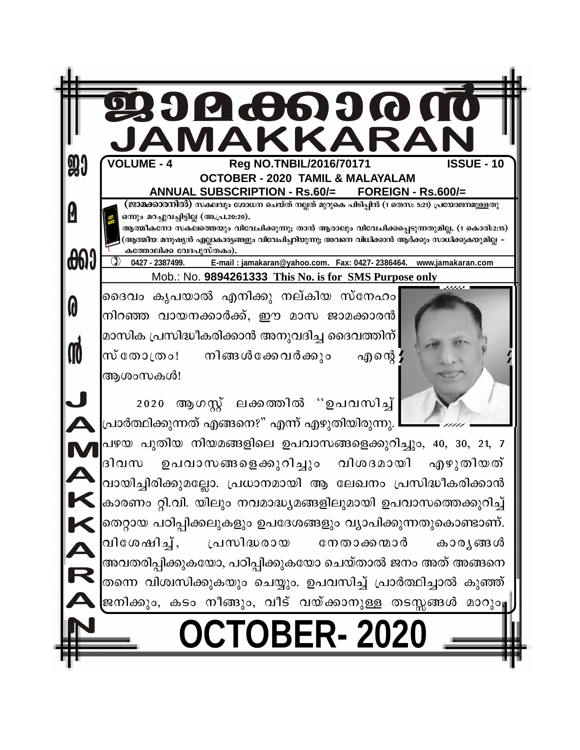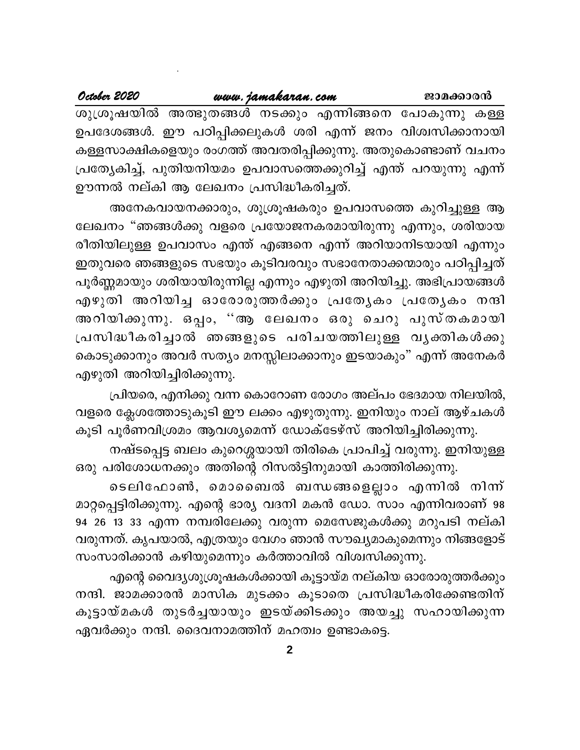| October 2020 | www.jamakaran.com                                                  | ജാമക്കാരൻ |
|--------------|--------------------------------------------------------------------|-----------|
|              | ശുശ്രൂഷയിൽ അത്ഭുതങ്ങൾ നടക്കും എന്നിങ്ങനെ പോകുന്നു കള്ള             |           |
|              | ഉപദേശങ്ങൾ. ഈ പഠിപ്പിക്കലുകൾ ശരി എന്ന് ജനം വിശ്വസിക്കാനായി          |           |
|              | കള്ളസാക്ഷികളെയും രംഗത്ത് അവതരിപ്പിക്കുന്നു. അതുകൊണ്ടാണ് വചനം       |           |
|              | പ്രത്യേകിച്ച്, പുതിയനിയമം ഉപവാസത്തെക്കുറിച്ച് എന്ത് പറയുന്നു എന്ന് |           |
|              | ഊന്നൽ നല്കി ആ ലേഖനം പ്രസിദ്ധീകരിച്ചത്.                             |           |
|              |                                                                    |           |

അനേകവായനക്കാരും, ശുശ്രൂഷകരും ഉപവാസത്തെ കുറിച്ചുള്ള ആ ലേഖനം "ഞങ്ങൾക്കു വളരെ പ്രയോജനകരമായിരുന്നു എന്നും, ശരിയായ രീതിയിലുള്ള ഉപവാസം എന്ത് എങ്ങനെ എന്ന് അറിയാനിടയായി എന്നും ഇതുവരെ ഞങ്ങളുടെ സഭയും കൂടിവരവും സഭാനേതാക്കന്മാരും പഠിപ്പിച്ചത് പൂർണ്ണമായും ശരിയായിരുന്നില്ല എന്നും എഴുതി അറിയിച്ചു. അഭിപ്രായങ്ങൾ എഴുതി അറിയിച്ച ഓരോരുത്തർക്കും പ്രത്യേകം പ്രത്യേകം നന്ദി രീതിയിലുള്ള ഉപവാസം എന്ത് എങ്ങനെ എന്ന് അറിയാനിടയായി എന്നും<br>ഇതുവരെ ഞങ്ങളുടെ സഭയും കൂടിവരവും സഭാനേതാക്കന്മാരും പഠിപ്പിച്ചത്<br>പൂർണ്ണമായും ശരിയായിരുന്നില്ല എന്നും എഴുതി അറിയിച്ചു. അഭിപ്രായങ്ങൾ<br>എഴുതി അറിയിച്ച ഓരോരുത്തർക്കും പ ഇതുവരെ ഞങ്ങളുടെ സഭയും കൂടിവരവും സഭാനേതാക്കന്മാരും പഠിപ്പിച്ചത്<br>പൂർണ്ണമായും ശരിയായിരുന്നില്ല എന്നും എഴുതി അറിയിച്ചു. അഭിപ്രായങ്ങൾ<br>എഴുതി അറിയിച്ച ഓരോരുത്തർക്കും പ്രത്യേകം പ്രത്യേകം നന്ദി<br>അറിയിക്കുന്നു. ഒപ്പം, ''ആ ലേ കൊടുക്കാനും അവർ സത്യം മനസ്സിലാക്കാനും ഇടയാകും" എന്ന് അനേകർ എഴുതി അറിയിച്ചിരിക്കുന്നു.

്രിയരെ, എനിക്കു വന്ന കൊറോണ രോഗം അല്പം ഭേദമായ നിലയിൽ, വളരെ ക്ലേശത്തോടുകൂടി ഈ ലക്കം എഴുതുന്നു. ഇനിയും നാല് ആഴ്ചകൾ കൂടി പൂർണവിശ്രമം ആവശ്യമെന്ന് ഡോക്ടേഴ്സ് അറിയിച്ചിരിക്കുന്നു.

നഷ്ടപ്പെട്ട ബലം കുറെശ്ശയായി തിരികെ പ്രാപിച്ച് വരുന്നു. ഇനിയുള്ള ഒരു പരിശോധനക്കും അതിന്റെ റിസൽട്ടിനുമായി കാത്തിരിക്കുന്നു.

) ക്ലേശത്തോടുകൂടി ഈ ലക്കം എഴുതുന്നു. ഇനിയും നാല് ആഴ്ചകൾ<br>പൂർണവിശ്രമം ആവശ്യമെന്ന് ഡോക്ടേഴ്സ് അറിയിച്ചിരിക്കുന്നു.<br>നഷ്ടപ്പെട്ട ബലം കുറെശ്ശയായി തിരികെ പ്രാപിച്ച് വരുന്നു. ഇനിയുള്ള<br>ചരിശോധനക്കും അതിന്റെ റിസൽട്ടിനുമായി കാത്തിരിക മാറ്റപ്പെട്ടിരിക്കുന്നു. എന്റെ ഭാര്യ വദനി മകൻ ഡോ. സാം എന്നിവരാണ് 98 94 26 13 33 എന്ന നമ്പരിലേക്കു വരുന്ന മെസേജുകൾക്കു മറുപടി നല്കി വരുന്നത്. കൃപയാൽ, എത്രയും വേഗം ഞാൻ സൗഖ്യമാകുമെന്നും നിങ്ങളോട് സംസാരിക്കാൻ കഴിയുമെന്നും കർത്താവിൽ വിശ്വസിക്കുന്നു.

എന്റെ വൈദ്യശുശൂഷകൾക്കായി കൂട്ടായ്മ നല്കിയ ഓരോരുത്തർക്കും 94 26 13 33 എന്ന നമ്പരിലേക്കു വരുന്ന മെസേജുകൾക്കു മറുപടി നല്കി<br>വരുന്നത്. കൃപയാൽ, എത്രയും വേഗം ഞാൻ സൗഖ്യമാകുമെന്നും നിങ്ങളോട്<br>സംസാരിക്കാൻ കഴിയുമെന്നും കർത്താവിൽ വിശ്വസിക്കുന്നു.<br>എന്റെ വൈദ്യശുശൂഷകൾക്കായി കൂട്ടായ്മ നല്കിയ ഓര വരുന്നത്. കൃപയാൽ, എത്രയും വേഗം ഞാൻ സൗഖ്യമാകുമെന്നും നിങ്ങളോട്<br>സംസാരിക്കാൻ കഴിയുമെന്നും കർത്താവിൽ വിശ്വസിക്കുന്നു.<br>എന്റെ വൈദ്യശുശൂഷകൾക്കായി കൂട്ടാത്മ നല്കിയ ഓരോരുത്തർക്കും<br>നന്ദി. ജാമക്കാരൻ മാസിക മുടക്കം കൂടാതെ പ്രസ ഏവർക്കും നന്ദി. ദൈവനാമത്തിന് മഹത്വം ഉണ്ടാകട്ടെ.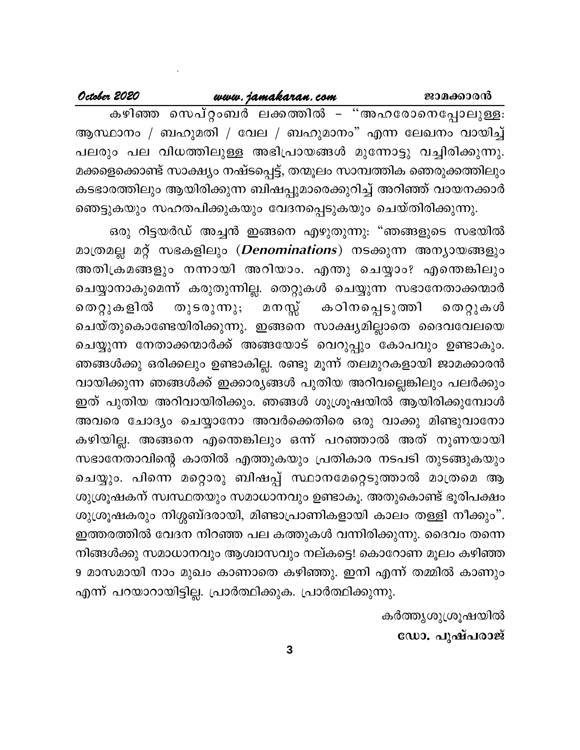| October 2020 | www.jamakaran.com                                                       | ജാമക്കാരൻ |
|--------------|-------------------------------------------------------------------------|-----------|
|              | കഴിഞ്ഞ സെപ്റ്റംബർ ലക്കത്തിൽ – "അഹരോനെപ്പോലുള്ള։                         |           |
|              | ആസ്ഥാനം / ബഹുമതി / വേല / ബഹുമാനം" എന്ന ലേഖനം വായിച്ച്                   |           |
|              | പലരും പല വിധത്തിലുള്ള അഭിപ്രായങ്ങൾ മുന്നോട്ടു വച്ചിരിക്കുന്നു.          |           |
|              | മക്കളെക്കൊണ്ട് സാക്ഷ്യം നഷ്ടപ്പെട്ട്, തന്മൂലം സാമ്പത്തിക ഞെരുക്കത്തിലും |           |
|              | കടഭാരത്തിലും ആയിരിക്കുന്ന ബിഷപ്പുമാരെക്കുറിച്ച് അറിഞ്ഞ് വായനക്കാർ       |           |
|              | ഞെട്ടുകയും സഹതപിക്കുകയും വേദനപ്പെടുകയും ചെയ്തിരിക്കുന്നു.               |           |

ഒരു റിട്ടയർഡ് അച്ചൻ ഇങ്ങനെ എഴുതുന്നു: "ഞങ്ങളുടെ സഭയിൽ മാത്രമല്ല മറ്റ് സഭകളിലും (Denominations) നടക്കുന്ന അന്യായങ്ങളും അതിക്രമങ്ങളും നന്നായി അറിയാം. എന്തു ചെയ്യാം? എന്തെങ്കിലും ചെയ്യാനാകുമെന്ന് കരുതുന്നില്ല. തെറ്റുകൾ ചെയ്യുന്ന സഭാനേതാക്കന്മാർ മനസ്സ് തുടരുന്നു; തെറ്റുകളിൽ കഠിനപ്പെടുത്തി തെറ്റുകൾ ചെയ്തുകൊണ്ടേയിരിക്കുന്നു. ഇങ്ങനെ സാക്ഷ്യമില്ലാതെ ദൈവവേലയെ ചെയ്യുന്ന നേതാക്കന്മാർക്ക് അങ്ങയോട് വെറുപ്പും കോപവും ഉണ്ടാകും. ഞങ്ങൾക്കു ഒരിക്കലും ഉണ്ടാകില്ല. രണ്ടു മൂന്ന് തലമുറകളായി ജാമക്കാരൻ വായിക്കുന്ന ഞങ്ങൾക്ക് ഇക്കാര്യങ്ങൾ പുതിയ അറിവല്ലെങ്കിലും പലർക്കും ഇത് പുതിയ അറിവായിരിക്കും. ഞങ്ങൾ ശുശ്രൂഷയിൽ ആയിരിക്കുമ്പോൾ അവരെ ചോദ്യം ചെയ്യാനോ അവർക്കെതിരെ ഒരു വാക്കു മിണ്ടുവാനോ കഴിയില്ല. അങ്ങനെ എന്തെങ്കിലും ഒന്ന് പറഞ്ഞാൽ അത് നുണയായി സഭാനേതാവിന്റെ കാതിൽ എത്തുകയും പ്രതികാര നടപടി തുടങ്ങുകയും ചെയ്യും. പിന്നെ മറ്റൊരു ബിഷപ്പ് സ്ഥാനമേറ്റെടുത്താൽ മാത്രമെ ആ ശുശ്രൂഷകന് സ്വസ്ഥതയും സമാധാനവും ഉണ്ടാകൂ. അതുകൊണ്ട് ഭൂരിപക്ഷം ശുശ്രൂഷകരും നിശ്ശബ്ദരായി, മിണ്ടാപ്രാണികളായി കാലം തള്ളി നീക്കും". ഇത്തരത്തിൽ വേദന നിറഞ്ഞ പല കത്തുകൾ വന്നിരിക്കുന്നു. ദൈവം തന്നെ നിങ്ങൾക്കു സമാധാനവും ആശ്വാസവും നല്കട്ടെ! കൊറോണ മൂലം കഴിഞ്ഞ 9 മാസമായി നാം മുഖം കാണാതെ കഴിഞ്ഞു. ഇനി എന്ന് തമ്മിൽ കാണും എന്ന് പറയാറായിട്ടില്ല. പ്രാർത്ഥിക്കുക. പ്രാർത്ഥിക്കുന്നു.

> കർത്തൃശുശ്രൂഷയിൽ ഡോ. പുഷ്പരാജ്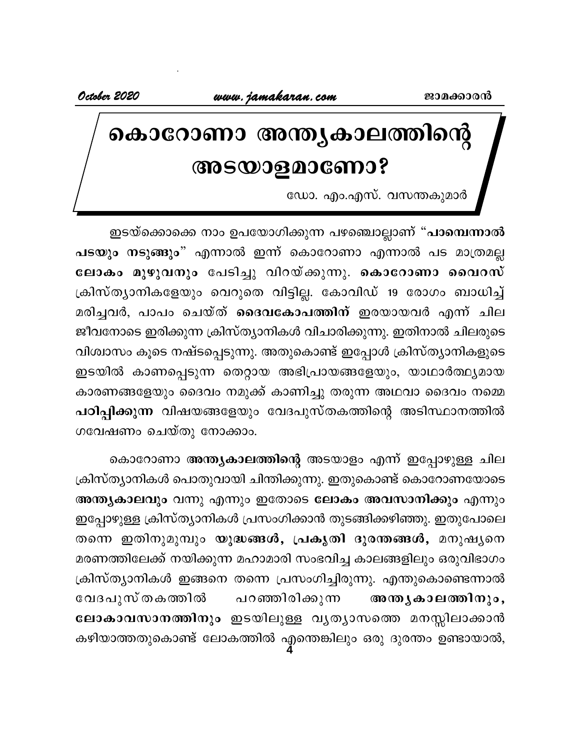# കൊറോണാ അന്തൃകാലത്തിന്റെ **Base 2008 Magazine**

ഡോ. എം.എസ്. വസന്തകുമാർ

ഇടയ്ക്കൊക്കെ നാം ഉപയോഗിക്കുന്ന പഴഞ്ചൊല്ലാണ് "**പാമ്പെന്നാൽ** പടയും നടുങ്ങും" എന്നാൽ ഇന്ന് കൊറോണാ എന്നാൽ പട മാത്രമല്ല famo. വസന്തകുമാര<br>- ഇടയ്ക്കൊക്കെ നാം ഉപയോഗിക്കുന്ന പഴഞ്ചൊല്ലാണ് "**പാമ്പെന്നാൽ**<br>പടയും നടുങ്ങും" എന്നാൽ ഇന്ന് കൊറോണാ എന്നാൽ പട മാത്രമല്ല<br>ലോകം മുഴുവനും പേടിച്ചു വിറയ്ക്കുന്നു. കൊറോണാ വൈറസ്<br>ക്രിസ്ത്യാനികളേയും വെറുതെ വിട്ടില്ല. ഇടയ്ക്കൊക്കെ നാം ഉപയോഗിക്കുന്ന പഴഞ്ചൊല്ലാണ് "**പാമ്പെന്നാൽ**<br>പടയും നടുങ്ങും" എന്നാൽ ഇന്ന് കൊറോണാ എന്നാൽ പട മാത്രമല്ല<br>ലോകം മുഴുവനും പേടിച്ചു വിറയ്ക്കുന്നു. കൊറോണാ വൈറസ്<br>ക്രിസ്ത്യാനികളേയും വെറുതെ വിട്ടില്ല. കോവിഡ് 19 രോഗം ബാധ ് ഇടയ്ക്കൊക്കെ നാം ഉപയോഗിക്കുന്ന പഴഞ്ചെടുത്ത് പാംവെന്നാരം<br>പടയും നടുങ്ങും" എന്നാൽ ഇന്ന് കൊറോണാ എന്നാൽ പട മാത്രമല്ല<br>ലോകം മുഴുവനും പേടിച്ചു വിറയ്ക്കുന്നു. കൊറോണാ വൈറസ്<br>ക്രിസ്ത്യാനികളേയും വെറുതെ വിട്ടില്ല. കോവിഡ് 19 രോഗം ബാ ജീവനോടെ ഇരിക്കുന്ന ക്രിസ്ത്യാനികൾ വിചാരിക്കുന്നു. ഇതിനാൽ ചിലരുടെ വിശ്വാസം കൂടെ നഷ്ടപ്പെടുന്നു. അതുകൊണ്ട് ഇപ്പോൾ ക്രിസ്ത്യാനികളുടെ ഇടയിൽ കാണപ്പെടുന്ന തെറ്റായ അഭിപ്രായങ്ങളേയും, യാഥാർത്ഥ്യമായ കാരണങ്ങളേയും ദൈവം നമുക്ക് കാണിച്ചു തരുന്ന അഥവാ ദൈവം നമ്മെ പ**ിപ്പിക്കുന്ന** വിഷയങ്ങളേയും വേദപുസ്തകത്തിന്റെ അടിസ്ഥാനത്തിൽ ഗവേഷണം ചെയ്തു നോക്കാം.

**4** കൊറോണാ <mark>അന്ത്യകാലത്തിന്റെ</mark> അടയാളം എന്ന് ഇപ്പോഴുള്ള ചില ക്രിസ്ത്യാനികൾ പൊതുവായി ചിന്തിക്കുന്നു. ഇതുകൊണ്ട് കൊറോണയോടെ **അന്ത്യകാലവും** വന്നു എന്നും ഇതോടെ **ലോകം അവസാനിക്കും** എന്നും ഇപ്പോഴുള്ള ക്രിസ്ത്യാനികൾ പ്രസംഗിക്കാൻ തുടങ്ങിക്കഴിഞ്ഞു. ഇതുപോലെ തന്നെ ഇതിനുമുമ്പും യു<mark>ദ്ധങ്ങൾ, പ്രകൃതി</mark> ദുരന്തങ്ങൾ, മനുഷ്യനെ മരണത്തിലേക്ക് നയിക്കുന്ന മഹാമാരി സംഭവിച്ച കാലങ്ങളിലും ഒരുവിഭാഗം ക്രിസ്ത്യാനികൾ ഇങ്ങനെ തന്നെ പ്രസംഗിച്ചിരുന്നു. എന്തുകൊണ്ടെന്നാൽ ഇപ്പോഴുള്ള ക്രസ്ത്യാനിക്ക് പ്രസ്കാര്ക്കാര് തുടങ്ങിക്കഴിഞ്ഞു. ഇതുപോലെ<br>തന്നെ ഇതിനുമുമ്പും **യുദ്ധങ്ങൾ, പ്രകൃതി ദുരന്തങ്ങൾ,** മനുഷ്യനെ<br>മരണത്തിലേക്ക് നയിക്കുന്ന മഹാമാരി സംഭവിച്ച കാലങ്ങളിലും ഒരുവിഭാഗം<br>ക്രിസ്ത്യാനികൾ ഇങ്ങനെ തന്നെ **ലോകാവസാനത്തിനും** ഇടയിലുള്ള വൃത്യാസത്തെ മനസ്സിലാക്കാൻ കഴിയാത്തതുകൊണ്ട് ലോകത്തിൽ എന്തെങ്കിലും ഒരു ദുരന്തം ഉണ്ടായാൽ,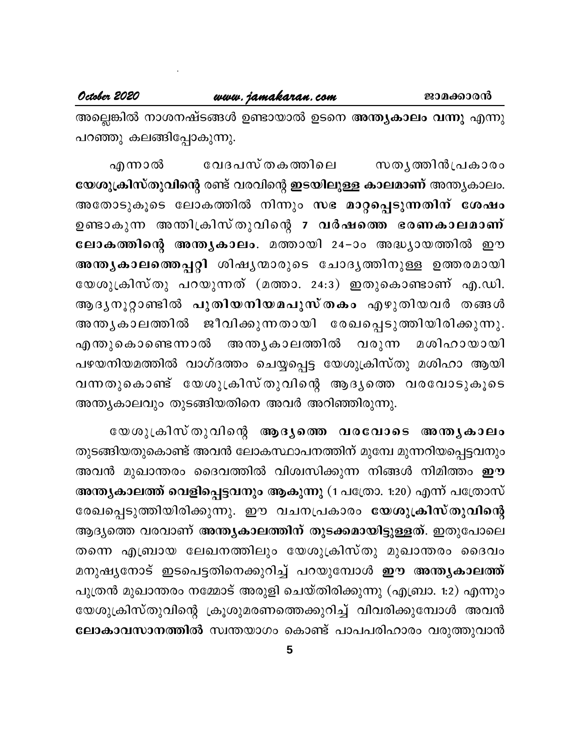അല്ലെങ്കിൽ നാശനഷ്ടങ്ങൾ ഉണ്ടായാൽ ഉടനെ <mark>അന്ത്യകാലം വന്നു</mark> എന്നു പറഞ്ഞു കലങ്ങിപ്പോകുന്നു.

വേദപസ്തകത്തിലെ എന്നാൽ സതൃത്തിൻപ്രകാരം യേശുക്രിസ്തുവിന്റെ രണ്ട് വരവിന്റെ ഇടയിലുള്ള കാലമാണ് അന്ത്യകാലം. അതോടുകൂടെ ലോകത്തിൽ നിന്നും സഭ മാറ്റപ്പെടുന്നതിന് ശേഷം ഉണ്ടാകുന്ന അന്തിക്രിസ്തുവിന്റെ 7 വർഷത്തെ ഭരണകാലമാണ് ലോകത്തിന്റെ അന്തൃകാലം. മത്തായി 24–ാം അദ്ധ്യായത്തിൽ ഈ അന്തൃകാലത്തെപ്പറ്റി ശിഷൃന്മാരുടെ ചോദൃത്തിനുള്ള ഉത്തരമായി യേശുക്രിസ്തു പറയുന്നത് (മത്താ. 24:3) ഇതുകൊണ്ടാണ് എ.ഡി. ആദൃനൂറ്റാണ്ടിൽ പുതിയനിയമപുസ്തകം എഴുതിയവർ തങ്ങൾ അന്തൃകാലത്തിൽ ജീവിക്കുന്നതായി രേഖപ്പെടുത്തിയിരിക്കുന്നു. എന്തുകൊണ്ടെന്നാൽ അന്ത്യകാലത്തിൽ വരുന്ന മശിഹായായി പഴയനിയമത്തിൽ വാഗ്ദത്തം ചെയ്യപ്പെട്ട യേശുക്രിസ്തു മശിഹാ ആയി വന്നതുകൊണ്ട് യേശുക്രിസ്തുവിന്റെ ആദ്യത്തെ വരവോടുകൂടെ അന്ത്യകാലവും തുടങ്ങിയതിനെ അവർ അറിഞ്ഞിരുന്നു.

യേശുക്രിസ്തുവിന്റെ ആദൃത്തെ വരവോടെ അന്തൃകാലം തുടങ്ങിയതുകൊണ്ട് അവൻ ലോകസ്ഥാപനത്തിന് മുമ്പേ മുന്നറിയപ്പെട്ടവനും അവൻ മുഖാന്തരം ദൈവത്തിൽ വിശ്വസിക്കുന്ന നിങ്ങൾ നിമിത്തം <mark>ഈ</mark> അന്ത്യകാലത്ത് വെളിപ്പെട്ടവനും ആകുന്നു (1 പത്രോ. 1:20) എന്ന് പത്രോസ് രേഖപ്പെടുത്തിയിരിക്കുന്നു. ഈ വചനപ്രകാരം യേശുക്രിസ്തുവിന്റെ ആദ്യത്തെ വരവാണ് അന്ത്യകാലത്തിന് തുടക്കമായിട്ടുള്ളത്. ഇതുപോലെ തന്നെ എബ്രായ ലേഖനത്തിലും യേശുക്രിസ്തു മുഖാന്തരം ദൈവം മനുഷ്യനോട് ഇടപെട്ടതിനെക്കുറിച്ച് പറയുമ്പോൾ **ഈ അന്ത്യകാലത്ത്** പുത്രൻ മുഖാന്തരം നമ്മോട് അരുളി ചെയ്തിരിക്കുന്നു (എബ്രാ. 1:2) എന്നും യേശുക്രിസ്തുവിന്റെ ക്രൂശുമരണത്തെക്കുറിച്ച് വിവരിക്കുമ്പോൾ അവൻ ലോകാവസാനത്തിൽ സ്വന്തയാഗം കൊണ്ട് പാപപരിഹാരം വരുത്തുവാൻ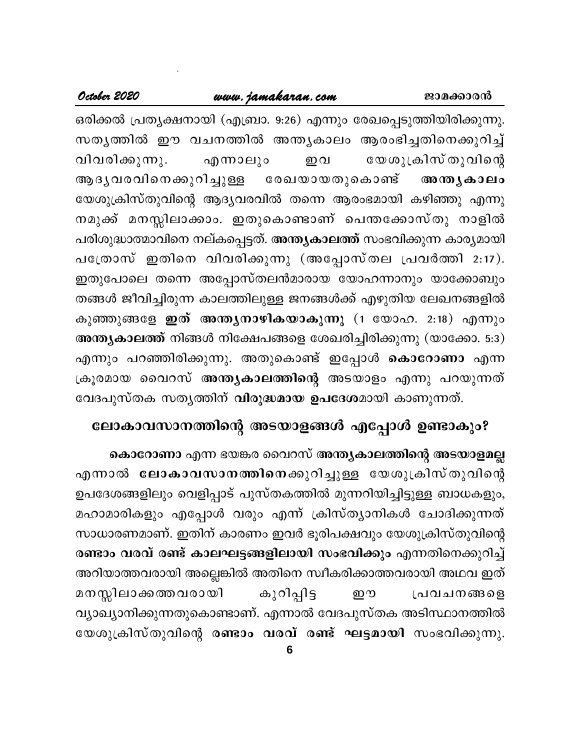#### www.jamakaran.com

ഒരിക്കൽ പ്രത്യക്ഷനായി (എബ്രാ. 9:26) എന്നും രേഖപ്പെടുത്തിയിരിക്കുന്നു. സതൃത്തിൽ ഈ വചനത്തിൽ അന്തൃകാലം ആരംഭിച്ചതിനെക്കുറിച്ച് വിവരിക്കുന്നു. യേശുക്രിസ് തുവിന്റെ എന്നാലും ഇവ ആദൃവരവിനെക്കുറിച്ചുള്ള രേഖയായതുകൊണ്ട് അന്തൃകാലം യേശുക്രിസ്തുവിന്റെ ആദ്യവരവിൽ തന്നെ ആരംഭമായി കഴിഞ്ഞു എന്നു നമുക്ക് മനസ്സിലാക്കാം. ഇതുകൊണ്ടാണ് പെന്തക്കോസ്തു നാളിൽ പരിശുദ്ധാത്മാവിനെ നല്കപ്പെട്ടത്. <mark>അന്ത്യകാലത്ത്</mark> സംഭവിക്കുന്ന കാര്യമായി പത്രോസ് ഇതിനെ വിവരിക്കുന്നു (അപ്പോസ്തല പ്രവർത്തി 2:17). ഇതുപോലെ തന്നെ അപ്പോസ്തലൻമാരായ യോഹന്നാനും യാക്കോബും തങ്ങൾ ജീവിച്ചിരുന്ന കാലത്തിലുള്ള ജനങ്ങൾക്ക് എഴുതിയ ലേഖനങ്ങളിൽ കുഞ്ഞുങ്ങളേ ഇത് അന്ത്യനാഴികയാകുന്നു (1 യോഹ. 2:18) എന്നും അന്ത്യകാലത്ത് നിങ്ങൾ നിക്ഷേപങ്ങളെ ശേഖരിച്ചിരിക്കുന്നു (യാക്കോ. 5:3) എന്നും പറഞ്ഞിരിക്കുന്നു. അതുകൊണ്ട് ഇപ്പോൾ **കൊറോണാ** എന്ന ക്രൂരമായ വൈറസ് അന്ത്യകാലത്തിന്റെ അടയാളം എന്നു പറയുന്നത് വേദപുസ്തക സതൃത്തിന് വിരുദ്ധമായ ഉപദേശമായി കാണുന്നത്.

# ലോകാവസാനത്തിന്റെ അടയാളങ്ങൾ എപ്പോൾ ഉണ്ടാകും?

കൊറോണാ എന്ന ഭയങ്കര വൈറസ് അന്ത്യകാലത്തിന്റെ അടയാളമല്ല എന്നാൽ ലോകാവസാനത്തിനെക്കുറിച്ചുള്ള യേശുക്രിസ്തുവിന്റെ ഉപദേശങ്ങളിലും വെളിപ്പാട് പുസ്തകത്തിൽ മുന്നറിയിച്ചിട്ടുള്ള ബാധകളും, മഹാമാരികളും എപ്പോൾ വരും എന്ന് ക്രിസ്ത്യാനികൾ ചോദിക്കുന്നത് സാധാരണമാണ്. ഇതിന് കാരണം ഇവർ ഭൂരിപക്ഷവും യേശുക്രിസ്തുവിന്റെ രണ്ടാം വരവ് രണ്ട് കാലഘട്ടങ്ങളിലായി സംഭവിക്കും എന്നതിനെക്കുറിച്ച് അറിയാത്തവരായി അല്ലെങ്കിൽ അതിനെ സ്വീകരിക്കാത്തവരായി അഥവ ഇത് മനസ്സിലാക്കത്തവരാ**യി** കുറിപ്പിട്ട ஹு പ്രവചനങ്ങളെ വ്യാഖ്യാനിക്കുന്നതുകൊണ്ടാണ്. എന്നാൽ വേദപുസ്തക അടിസ്ഥാനത്തിൽ യേശുക്രിസ്തുവിന്റെ രണ്ടാം വരവ് രണ്ട് ഘട്ടമായി സംഭവിക്കുന്നു.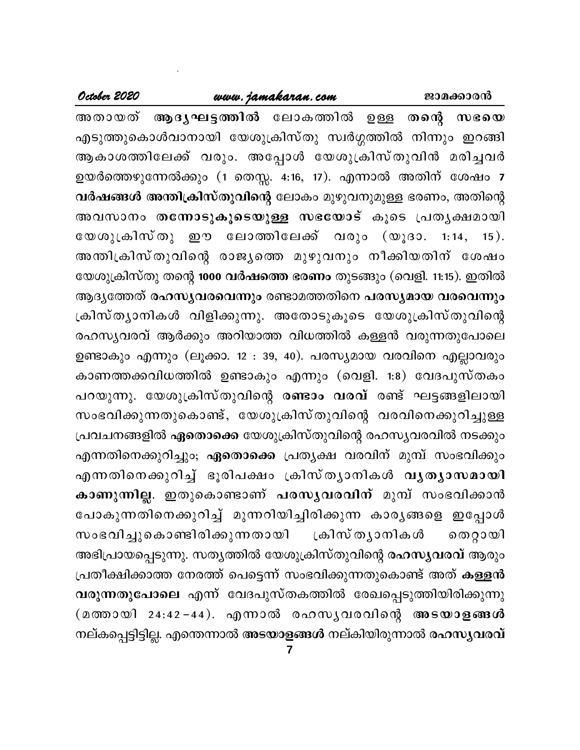#### www.jamakaran.com

October 2020

അതായത് ആദൃഘട്ടത്തിൽ ലോകത്തിൽ ഉള്ള തന്റെ സഭയെ എടുത്തുകൊൾവാനായി യേശുക്രിസ്തു സ്വർഗ്ഗത്തിൽ നിന്നും ഇറങ്ങി ആകാശത്തിലേക്ക് വരും. അപ്പോൾ യേശുക്രിസ്തുവിൻ മരിച്ചവർ ഉയർത്തെഴുന്നേൽക്കും (1 തെസ്സ. 4:16, 17). എന്നാൽ അതിന് ശേഷം 7 വർഷങ്ങൾ അന്തിക്രിസ്തുവിന്റെ ലോകം മുഴുവനുമുള്ള ഭരണം, അതിന്റെ അവസാനം തന്നോടുകൂടെയുള്ള സഭയോട് കൂടെ പ്രതൃക്ഷമായി യേശുക്രിസ്തു ഈ ലോത്തിലേക്ക് വരും (യൂദാ. 1:14, 15). അന്തിക്രിസ്തുവിന്റെ രാജൃത്തെ മുഴുവനും നീക്കിയതിന് ശേഷം യേശുക്രിസ്തു തന്റെ 1000 വർഷത്തെ ഭരണം തുടങ്ങും (വെളി. 11:15). ഇതിൽ ആദൃത്തേത് രഹസൃവരവെന്നും രണ്ടാമത്തതിനെ പരസൃമായ വരവെന്നും ക്രിസ്ത്യാനികൾ വിളിക്കുന്നു. അതോടുകൂടെ യേശുക്രിസ്തുവിന്റെ രഹസ്യവരവ് ആർക്കും അറിയാത്ത വിധത്തിൽ കള്ളൻ വരുന്നതുപോലെ ഉണ്ടാകും എന്നും (ലൂക്കാ. 12 : 39, 40). പരസ്യമായ വരവിനെ എല്ലാവരും കാണത്തക്കവിധത്തിൽ ഉണ്ടാകും എന്നും (വെളി. 1:8) വേദപുസ്തകം പറയുന്നു. യേശുക്രിസ്തുവിന്റെ രണ്ടാം വരവ് രണ്ട് ഘട്ടങ്ങളിലായി സംഭവിക്കുന്നതുകൊണ്ട്, യേശുക്രിസ്തുവിന്റെ വരവിനെക്കുറിച്ചുള്ള പ്രവചനങ്ങളിൽ **ഏതൊക്കെ** യേശുക്രിസ്തുവിന്റെ രഹസൃവരവിൽ നടക്കും എന്നതിനെക്കുറിച്ചും; **ഏതൊക്കെ** പ്രത്യക്ഷ വരവിന് മുമ്പ് സംഭവിക്കും എന്നതിനെക്കുറിച്ച് ഭൂരിപക്ഷം ക്രിസ്തൃാനികൾ **വൃതൃാസമായി** കാണുന്നില്ല. ഇതുകൊണ്ടാണ് പരസൃവരവിന് മുമ്പ് സംഭവിക്കാൻ പോകുന്നതിനെക്കുറിച്ച് മുന്നറിയിച്ചിരിക്കുന്ന കാരൃങ്ങളെ ഇപ്പോൾ സംഭവിച്ചുകൊണ്ടിരിക്കുന്നതായി ്രകിസ് തൃാനികൾ തെറ്റായി അഭിപ്രായപ്പെടുന്നു. സത്യത്തിൽ യേശുക്രിസ്തുവിന്റെ രഹസ്യവരവ് ആരും പ്രതീക്ഷിക്കാത്ത നേരത്ത് പെട്ടെന്ന് സംഭവിക്കുന്നതുകൊണ്ട് അത് <mark>കള്ളൻ</mark> വരുന്നതുപോലെ എന്ന് വേദപുസ്തകത്തിൽ രേഖപ്പെടുത്തിയിരിക്കുന്നു (മത്തായി 24:42−44). എന്നാൽ രഹസൃവരവിന്റെ അടയാളങ്ങൾ നല്കപ്പെട്ടിട്ടില്ല. എന്തെന്നാൽ **അടയാളങ്ങൾ** നല്കിയിരുന്നാൽ രഹസ്യവര**വ്**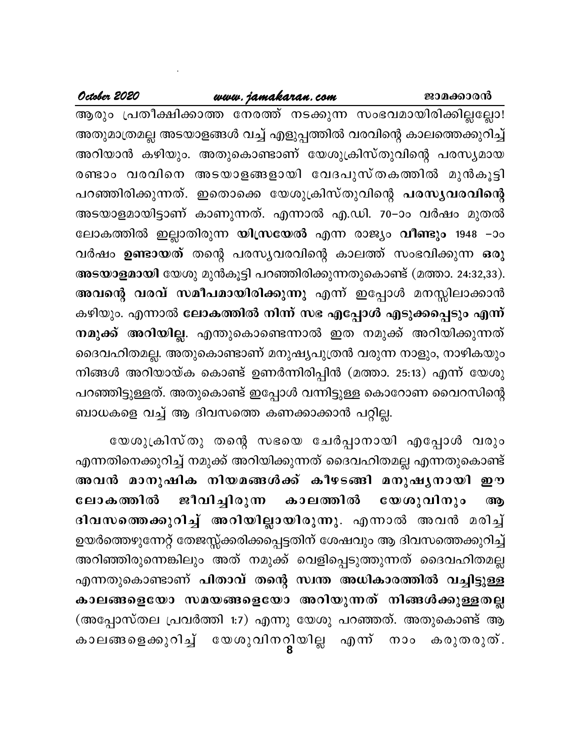## www.jamakaran.com

October 2020

ആരും പ്രതീക്ഷിക്കാത്ത നേരത്ത് നടക്കുന്ന സംഭവമായിരിക്കില്ലല്ലോ! അതുമാത്രമല്ല അടയാളങ്ങൾ വച്ച് എളുപ്പത്തിൽ വരവിന്റെ കാലത്തെക്കുറിച്ച് അറിയാൻ കഴിയും. അതുകൊണ്ടാണ് യേശുക്രിസ്തുവിന്റെ പരസ്യമായ രണ്ടാം വരവിനെ അടയാളങ്ങളായി വേദപുസ്തകത്തിൽ മുൻകൂട്ടി പറഞ്ഞിരിക്കുന്നത്. ഇതൊക്കെ യേശുക്രിസ്തുവിന്റെ പരസൃവരവിന്റെ അടയാളമായിട്ടാണ് കാണുന്നത്. എന്നാൽ എ.ഡി. 70−ാം വർഷം മുതൽ ലോകത്തിൽ ഇല്ലാതിരുന്ന **യിസ്രയേൽ** എന്ന രാജ്യം **വീണ്ടും** 1948 –ാം വർഷം **ഉണ്ടായത്** തന്റെ പരസ്യവരവിന്റെ കാലത്ത് സംഭവിക്കുന്ന **ഒ**രു അടയാളമായി യേശു മുൻകൂട്ടി പറഞ്ഞിരിക്കുന്നതുകൊണ്ട് (മത്താ. 24:32,33). അവന്റെ വരവ് സമീപമായിരിക്കുന്നു എന്ന് ഇപ്പോൾ മനസ്സിലാക്കാൻ കഴിയും. എന്നാൽ ലോകത്തിൽ നിന്ന് സഭ എപ്പോൾ എടുക്കപ്പെടും എന്ന് നമുക്ക് അറിയില്ല. എന്തുകൊണ്ടെന്നാൽ ഇത നമുക്ക് അറിയിക്കുന്നത് ദൈവഹിതമല്ല. അതുകൊണ്ടാണ് മനുഷ്യപുത്രൻ വരുന്ന നാളും, നാഴികയും നിങ്ങൾ അറിയായ്ക കൊണ്ട് ഉണർന്നിരിപ്പിൻ (മത്താ. 25:13) എന്ന് യേശു പറഞ്ഞിട്ടുള്ളത്. അതുകൊണ്ട് ഇപ്പോൾ വന്നിട്ടുള്ള കൊറോണ വൈറസിന്റെ ബാധകളെ വച്ച് ആ ദിവസത്തെ കണക്കാക്കാൻ പറ്റില്ല.

യേശുക്രിസ്തു തന്റെ സഭയെ ചേർപ്പാനായി എപ്പോൾ വരും എന്നതിനെക്കുറിച്ച് നമുക്ക് അറിയിക്കുന്നത് ദൈവഹിതമല്ല എന്നതുകൊണ്ട് അവൻ മാനുഷിക നിയമങ്ങൾക്ക് കീഴടങ്ങി മനുഷൃനായി ഈ ലോകത്തിൽ ജീവിച്ചിരുന്ന കാലത്തിൽ യേശുവിനും ௵ ദിവസത്തെക്കുറിച്ച് അറിയില്ലായിരുന്നു. എന്നാൽ അവൻ മരിച്ച് ഉയർത്തെഴുന്നേറ്റ് തേജസ്സ്ക്കരിക്കപ്പെട്ടതിന് ശേഷവും ആ ദിവസത്തെക്കുറിച്ച് അറിഞ്ഞിരുന്നെങ്കിലും അത് നമുക്ക് വെളിപ്പെടുത്തുന്നത് ദൈവഹിതമല്ല എന്നതുകൊണ്ടാണ് പിതാവ് തന്റെ സ്വന്ത അധികാരത്തിൽ വച്ചിട്ടുള്ള കാലങ്ങളെയോ സമയങ്ങളെയോ അറിയുന്നത് നിങ്ങൾക്കുള്ളതല്ല (അപ്പോസ്തല പ്രവർത്തി 1:7) എന്നു യേശു പറഞ്ഞത്. അതുകൊണ്ട് ആ കാലങ്ങളെക്കുറിച്ച് യേശുവിനറ്റിയില്ല എന്ന് നാം കരുതരുത്.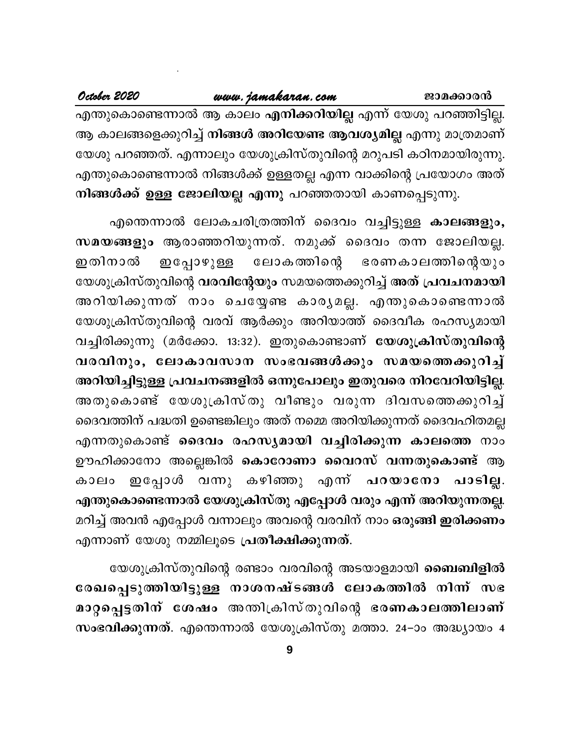## www.jamakaran.com

October 2020

എന്തുകൊണ്ടെന്നാൽ ആ കാലം **എനിക്കറിയില്ല** എന്ന് യേശു പറഞ്ഞിട്ടില്ല. ആ കാലങ്ങളെക്കുറിച്ച് <mark>നിങ്ങൾ അറിയേണ്ട ആവശ്യമില്ല</mark> എന്നു മാത്രമാണ് യേശു പറഞ്ഞത്. എന്നാലും യേശുക്രിസ്തുവിന്റെ മറുപടി കഠിനമായിരുന്നു. എന്തുകൊണ്ടെന്നാൽ നിങ്ങൾക്ക് ഉള്ളതല്ല എന്ന വാക്കിന്റെ പ്രയോഗം അത് നിങ്ങൾക്ക് ഉള്ള ജോലിയല്ല എന്നു പറഞ്ഞതായി കാണപ്പെടുന്നു.

എന്തെന്നാൽ ലോകചരിത്രത്തിന് ദൈവം വച്ചിട്ടുള്ള കാലങ്ങളും, സമയങ്ങളും ആരാഞ്ഞറിയുന്നത്. നമുക്ക് ദൈവം തന്ന ജോലിയല്ല. ഇതിനാൽ ലോകത്തിന്റെ ഭരണകാലത്തിന്റെയും ഇപ്പോഴുള്ള യേശുക്രിസ്തുവിന്റെ വരവിന്റേയും സമയത്തെക്കുറിച്ച് അത് പ്രവചനമായി അറിയിക്കുന്നത് നാം ചെയ്യേണ്ട കാരൃമല്ല. എന്തുകൊണ്ടെന്നാൽ യേശുക്രിസ്തുവിന്റെ വരവ് ആർക്കും അറിയാത്ത് ദൈവീക രഹസ്യമായി വച്ചിരിക്കുന്നു (മർക്കോ. 13:32). ഇതുകൊണ്ടാണ് യേശുക്രിസ്തുവിന്റെ വരവിനും, ലോകാവസാന സംഭവങ്ങൾക്കും സമയത്തെക്കുറിച്ച് അറിയിച്ചിട്ടുള്ള പ്രവചനങ്ങളിൽ ഒന്നുപോലും ഇതുവരെ നിറവേറിയിട്ടില്ല. അതുകൊണ്ട് യേശുക്രിസ്തു വീണ്ടും വരുന്ന ദിവസത്തെക്കുറിച്ച് ദൈവത്തിന് പദ്ധതി ഉണ്ടെങ്കിലും അത് നമ്മെ അറിയിക്കുന്നത് ദൈവഹിതമല്ല എന്നതുകൊണ്ട് ദൈവം രഹസ്യമായി വച്ചിരിക്കുന്ന കാലത്തെ നാം ഊഹിക്കാനോ അല്ലെങ്കിൽ <mark>കൊറോണാ വൈറസ് വന്നതുകൊണ്ട്</mark> ആ ഇപ്പോൾ വന്നു കഴിഞ്ഞു എന്ന് പറയാനോ പാടില്ല. കാലം എന്തുകൊണ്ടെന്നാൽ യേശുക്രിസ്തു എപ്പോൾ വരും എന്ന് അറിയുന്നതല്ല. മറിച്ച് അവൻ എപ്പോൾ വന്നാലും അവന്റെ വരവിന് നാം <mark>ഒരുങ്ങി ഇരിക്കണം</mark> എന്നാണ് യേശു നമ്മിലൂടെ പ്രതീക്ഷിക്കുന്നത്.

യേശുക്രിസ്തുവിന്റെ രണ്ടാം വരവിന്റെ അടയാളമായി <mark>ബൈബിളിൽ</mark> രേഖപ്പെടുത്തിയിട്ടുള്ള നാശനഷ്ടങ്ങൾ ലോകത്തിൽ നിന്ന് സഭ മാറ്റപ്പെട്ടതിന് ശേഷം അന്തിക്രിസ്തുവിന്റെ ഭരണകാലത്തിലാണ് സംഭവിക്കുന്നത്. എന്തെന്നാൽ യേശുക്രിസ്തു മത്താ. 24–ാം അദ്ധ്യായം 4

 $9$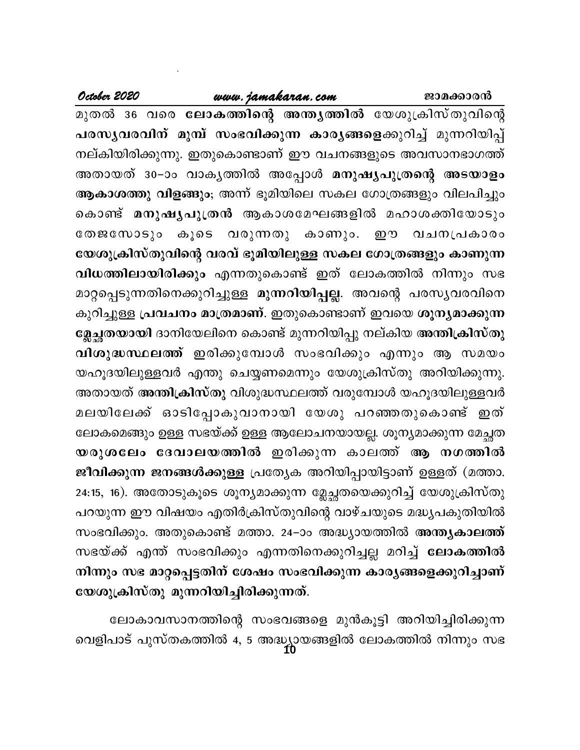## www.jamakaran.com

October 2020

മുതൽ 36 വരെ ലോകത്തിന്റെ അന്ത്യത്തിൽ യേശുക്രിസ്തുവിന്റെ പരസൃവരവിന് മുമ്പ് സംഭവിക്കുന്ന കാരൃങ്ങളെക്കുറിച്ച് മുന്നറിയിപ്പ് നല്കിയിരിക്കുന്നു. ഇതുകൊണ്ടാണ് ഈ വചനങ്ങളുടെ അവസാനഭാഗത്ത് അതായത് 30−ാം വാകൃത്തിൽ അപ്പോൾ മനുഷൃപുത്രന്റെ അടയാളം ആകാശത്തു വിളങ്ങും; അന്ന് ഭൂമിയിലെ സകല ഗോത്രങ്ങളും വിലപിച്ചും കൊണ്ട് മനുഷൃപുത്രൻ ആകാശമേഘങ്ങളിൽ മഹാശക്തിയോടും തേജസോടും കൂടെ വരുന്നതു കാണും. ഈ വചനപ്രകാരം യേശുക്രിസ്തുവിന്റെ വരവ് ഭൂമിയിലുള്ള സകല ഗോത്രങ്ങളും കാണുന്ന വിധത്തിലായിരിക്കും എന്നതുകൊണ്ട് ഇത് ലോകത്തിൽ നിന്നും സഭ മാറ്റപ്പെടുന്നതിനെക്കുറിച്ചുള്ള മുന്നറിയിപ്പല്ല. അവന്റെ പരസൃവരവിനെ കുറിച്ചുള്ള പ്രവചനം മാത്രമാണ്. ഇതുകൊണ്ടാണ് ഇവയെ ശൂന്യമാക്കുന്ന ജേച്ഛതയായി ദാനിയേലിനെ കൊണ്ട് മുന്നറിയിപ്പു നല്കിയ അന്തിക്രിസ്തു വിശുദ്ധസ്ഥലത്ത് ഇരിക്കുമ്പോൾ സംഭവിക്കും എന്നും ആ സമയം യഹൂദയിലുള്ളവർ എന്തു ചെയ്യണമെന്നും യേശുക്രിസ്തു അറിയിക്കുന്നു. അതായത് അന്തിക്രിസ്തു വിശുദ്ധസ്ഥലത്ത് വരുമ്പോൾ യഹൂദയിലുള്ളവർ മലയിലേക്ക് ഓടിപ്പോകുവാനായി യേശു പറഞ്ഞതുകൊണ്ട് ഇത് ലോകമെങ്ങും ഉള്ള സഭയ്ക്ക് ഉള്ള ആലോചനയായല്ല. ശൂന്യമാക്കുന്ന മേച്ചത യരുശലേം ദേവാലയത്തിൽ ഇരിക്കുന്ന കാലത്ത് ആ നഗത്തിൽ ജീവിക്കുന്ന ജനങ്ങൾക്കുള്ള പ്രത്യേക അറിയിപ്പായിട്ടാണ് ഉള്ളത് (മത്താ. 24:15, 16). അതോടുകൂടെ ശൂന്യമാക്കുന്ന മ്ലേച്ഛതയെക്കുറിച്ച് യേശുക്രിസ്തു പറയുന്ന ഈ വിഷയം എതിർക്രിസ്തുവിന്റെ വാഴ്ചയുടെ മദ്ധ്യപകുതിയിൽ സംഭവിക്കും. അതുകൊണ്ട് മത്താ. 24–ാം അദ്ധ്യായത്തിൽ അന്ത്യകാലത്ത് സഭയ്ക്ക് എന്ത് സംഭവിക്കും എന്നതിനെക്കുറിച്ചല്ല മറിച്ച് **ലോകത്തിൽ** നിന്നും സഭ മാറ്റപ്പെട്ടതിന് ശേഷം സംഭവിക്കുന്ന കാര്യങ്ങളെക്കുറിച്ചാണ് യേശുക്രിസ്തു മുന്നറിയിച്ചിരിക്കുന്നത്.

ലോകാവസാനത്തിന്റെ സംഭവങ്ങളെ മുൻകൂട്ടി അറിയിച്ചിരിക്കുന്ന വെളിപാട് പുസ്തകത്തിൽ 4, 5 അദ്ധ്യായങ്ങളിൽ ലോകത്തിൽ നിന്നും സഭ<br>10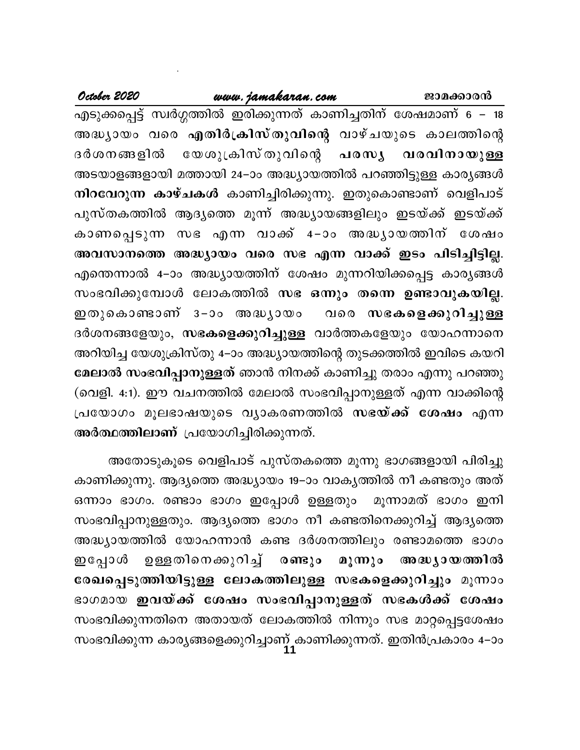## www.jamakaran.com

October 2020

എടുക്കപ്പെട്ട് സ്വർഗ്ഗത്തിൽ ഇരിക്കുന്നത് കാണിച്ചതിന് ശേഷമാണ് 6 – 18 അദ്ധ്യായം വരെ എതിർക്രിസ്തുവിന്റെ വാഴ്ചയുടെ കാലത്തിന്റെ ദർശനങ്ങളിൽ യേശുക്രിസ് തുവിന്റെ പരസൃ വരവിനായുള്ള അടയാളങ്ങളായി മത്തായി 24–ാം അദ്ധ്യായത്തിൽ പറഞ്ഞിട്ടുള്ള കാര്യങ്ങൾ നിറവേറുന്ന കാഴ്ചകൾ കാണിച്ചിരിക്കുന്നു. ഇതുകൊണ്ടാണ് വെളിപാട് പുസ്തകത്തിൽ ആദ്യത്തെ മൂന്ന് അദ്ധ്യായങ്ങളിലും ഇടയ്ക്ക് ഇടയ്ക്ക് കാണപ്പെടുന്ന സഭ എന്ന വാക്ക് 4–ാം അദ്ധ്യായത്തിന് ശേഷം അവസാനത്തെ അദ്ധ്യായം വരെ സഭ എന്ന വാക്ക് ഇടം പിടിച്ചിട്ടില്ല. എന്തെന്നാൽ 4–ാം അദ്ധ്യായത്തിന് ശേഷം മുന്നറിയിക്കപ്പെട്ട കാര്യങ്ങൾ സംഭവിക്കുമ്പോൾ ലോകത്തിൽ സഭ ഒന്നും തന്നെ ഉണ്ടാവുകയില്ല. ഇതുകൊണ്ടാണ് ദ−ാം അദ്ധൃായം വരെ സഭകളെക്കുറിച്ചുള്ള ദർശനങ്ങളേയും, സഭകളെക്കുറിച്ചുള്ള വാർത്തകളേയും യോഹന്നാനെ അറിയിച്ച യേശുക്രിസ്തു 4–ാം അദ്ധ്യായത്തിന്റെ തുടക്കത്തിൽ ഇവിടെ കയറി മേലാൽ സംഭവിപ്പാനുള്ളത് ഞാൻ നിനക്ക് കാണിച്ചു തരാം എന്നു പറഞ്ഞു (വെളി. 4:1). ഈ വചനത്തിൽ മേലാൽ സംഭവിപ്പാനുള്ളത് എന്ന വാക്കിന്റെ പ്രയോഗം മൂലഭാഷയുടെ വ്യാകരണത്തിൽ സഭ**യ്ക്ക് ശേഷം** എന്ന അർത്ഥത്തിലാണ് പ്രയോഗിച്ചിരിക്കുന്നത്.

അതോടുകൂടെ വെളിപാട് പുസ്തകത്തെ മൂന്നു ഭാഗങ്ങളായി പിരിച്ചു കാണിക്കുന്നു. ആദ്യത്തെ അദ്ധ്യായം 19–ാം വാകൃത്തിൽ നീ കണ്ടതും അത് ഒന്നാം ഭാഗം. രണ്ടാം ഭാഗം ഇപ്പോൾ ഉള്ളതും മൂന്നാമത് ഭാഗം ഇനി സംഭവിപ്പാനുള്ളതും. ആദ്യത്തെ ഭാഗം നീ കണ്ടതിനെക്കുറിച്ച് ആദ്യത്തെ അദ്ധ്യായത്തിൽ യോഹന്നാൻ കണ്ട ദർശനത്തിലും രണ്ടാമത്തെ ഭാഗം ഉള്ളതിനെക്കുറിച്ച് രണ്ടും ഇപ്പോൾ മൂന്നും അദ്ധ്യായത്തിൽ രേഖപ്പെടുത്തിയിട്ടുള്ള ലോകത്തിലുള്ള സഭകളെക്കുറിച്ചും മൂന്നാം ഭാഗമായ ഇവയ്ക്ക് ശേഷം സംഭവിപ്പാനുള്ളത് സഭകൾക്ക് ശേഷം സംഭവിക്കുന്നതിനെ അതായത് ലോകത്തിൽ നിന്നും സഭ മാറ്റപ്പെട്ടശേഷം സംഭവിക്കുന്ന കാര്യങ്ങളെക്കുറിച്ചാണ് കാണിക്കുന്നത്. ഇതിൻപ്രകാരം 4–ാം<br>11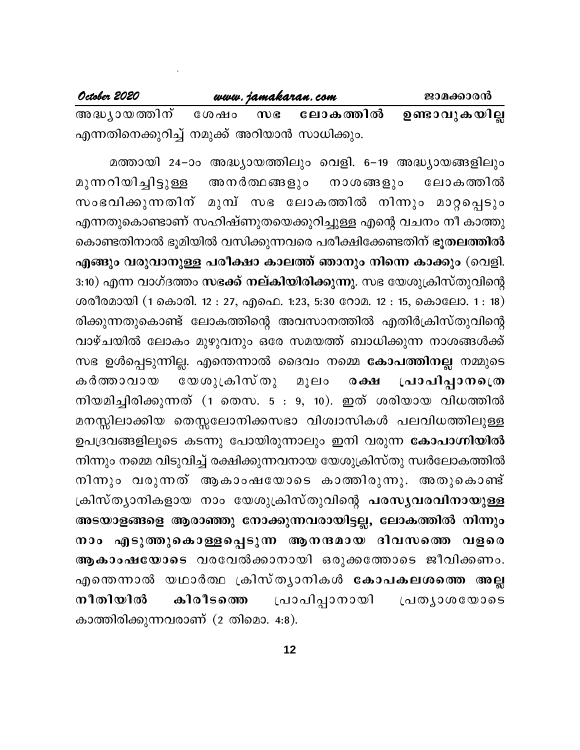| October 2020                                 |         | www.jamakaran.com | ജാമക്കാരൻ            |
|----------------------------------------------|---------|-------------------|----------------------|
| അദ്ധ്യായത്തിന്                               | ശേഷം സഭ | ലോകത്തിൽ          | <b>ഉണ്ടാവുകയില്ല</b> |
| എന്നതിനെക്കുറിച്ച് നമുക്ക് അറിയാൻ സാധിക്കും. |         |                   |                      |

മത്തായി 24–ാം അദ്ധ്യായത്തിലും വെളി. 6–19 അദ്ധ്യായങ്ങളിലും മുന്നറിയിച്ചിട്ടുള്ള അനർത്ഥങ്ങളും നാശങ്ങളും ലോകത്തിൽ സംഭവിക്കുന്നതിന് മുമ്പ് സഭ ലോകത്തിൽ നിന്നും മാറ്റപ്പെടും എന്നതുകൊണ്ടാണ് സഹിഷ്ണുതയെക്കുറിച്ചുള്ള എന്റെ വചനം നീ കാത്തു കൊണ്ടതിനാൽ ഭൂമിയിൽ വസിക്കുന്നവരെ പരീക്ഷിക്കേണ്ടതിന് ഭൂതലത്തിൽ എങ്ങും വരുവാനുള്ള പരീക്ഷാ കാലത്ത് ഞാനും നിന്നെ കാക്കും (വെളി. 3:10) എന്ന വാഗ്ദത്തം സഭക്ക് നല്കിയിരിക്കുന്നു. സഭ യേശുക്രിസ്തുവിന്റെ ശരീരമായി (1 കൊരി. 12 : 27, എഫെ. 1:23, 5:30 റോമ. 12 : 15, കൊലോ. 1 : 18) രിക്കുന്നതുകൊണ്ട് ലോകത്തിന്റെ അവസാനത്തിൽ എതിർക്രിസ്തുവിന്റെ വാഴ്ചയിൽ ലോകം മുഴുവനും ഒരേ സമയത്ത് ബാധിക്കുന്ന നാശങ്ങൾക്ക് സഭ ഉൾപ്പെടുന്നില്ല. എന്തെന്നാൽ ദൈവം നമ്മെ <mark>കോപത്തിനല്ല</mark> നമ്മുടെ യേശുക്രിസ്തു പ്രാപിപ്പാനപ്രെ കർത്താവായ മൂലം  $\omega$   $\omega$ നിയമിച്ചിരിക്കുന്നത് (1 തെസ.  $5:9, 10$ ). ഇത് ശരിയായ വിധത്തിൽ മനസ്സിലാക്കിയ തെസ്സലോനിക്കസഭാ വിശ്വാസികൾ പലവിധത്തിലുള്ള ഉപദ്രവങ്ങളിലൂടെ കടന്നു പോയിരുന്നാലും ഇനി വരുന്ന <mark>കോപാഗ്നിയിൽ</mark> നിന്നും നമ്മെ വിടുവിച്ച് രക്ഷിക്കുന്നവനായ യേശുക്രിസ്തു സ്വർലോകത്തിൽ നിന്നും വരുന്നത് ആകാംഷയോടെ കാത്തിരുന്നു. അതുകൊണ്ട് ക്രിസ്ത്യാനികളായ നാം യേശുക്രിസ്തുവിന്റെ പരസ്യവരവിനായുള്ള അടയാളങ്ങളെ ആരാഞ്ഞു നോക്കുന്നവരായിട്ടല്ല, ലോകത്തിൽ നിന്നും നാം എടുത്തുകൊള്ളപ്പെടുന്ന ആനന്ദമായ ദിവസത്തെ വളരെ ആകാംഷയോടെ വരവേൽക്കാനായി ഒരുക്കത്തോടെ ജീവിക്കണം. എന്തെന്നാൽ യഥാർത്ഥ ക്രിസ്ത്യാനികൾ <mark>കോപകലശത്തെ അല്</mark>ല നീതിയിൽ പ്രാപിപ്പാനായി കിരീടത്തെ പ്രതൃാശയോടെ കാത്തിരിക്കുന്നവരാണ് (2 തിമൊ. 4:8).

 $12$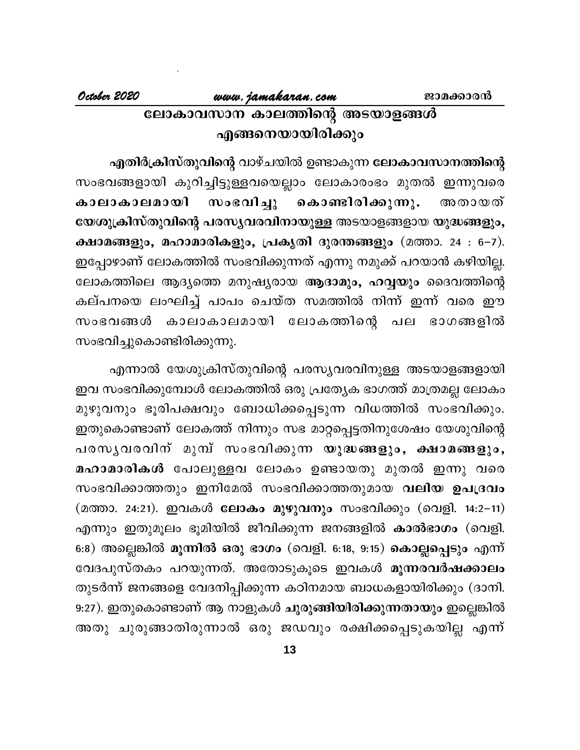# www.jamakaran.com ലോകാവസാന കാലത്തിന്റെ അടയാളങ്ങൾ എങ്ങനെയായിരിക്കും

എതിർക്രിസ്തുവിന്റെ വാഴ്ചയിൽ ഉണ്ടാകുന്ന ലോകാവസാനത്തിന്റെ സംഭവങ്ങളായി കുറിച്ചിട്ടുള്ളവയെല്ലാം ലോകാരംഭം മുതൽ ഇന്നുവരെ സംഭവിച്ചു കാലാകാലമായി കൊണ്ടിരിക്കുന്നു. അതായത് യേശുക്രിസ്തുവിന്റെ പരസൃവരവിനായുള്ള അടയാളങ്ങളായ യുദ്ധങ്ങളും, ക്ഷാമങ്ങളും, മഹാമാരികളും, പ്രകൃതി ദുരന്തങ്ങളും (മത്താ. 24 : 6-7). ഇപ്പോഴാണ് ലോകത്തിൽ സംഭവിക്കുന്നത് എന്നു നമുക്ക് പറയാൻ കഴിയില്ല. ലോകത്തിലെ ആദ്യത്തെ മനുഷ്യരായ ആദാമും, ഹവ്വയും ദൈവത്തിന്റെ കല്പനയെ ലംഘിച്ച് പാപം ചെയ്ത സമത്തിൽ നിന്ന് ഇന്ന് വരെ ഈ സംഭവങ്ങൾ കാലാകാലമായി ലോകത്തിന്റെ പല ഭാഗങ്ങളിൽ സംഭവിച്ചുകൊണ്ടിരിക്കുന്നു.

എന്നാൽ യേശുക്രിസ്തുവിന്റെ പരസ്യവരവിനുള്ള അടയാളങ്ങളായി ഇവ സംഭവിക്കുമ്പോൾ ലോകത്തിൽ ഒരു പ്രത്യേക ഭാഗത്ത് മാത്രമല്ല ലോകം മുഴുവനും ഭൂരിപക്ഷവും ബോധിക്കപ്പെടുന്ന വിധത്തിൽ സംഭവിക്കും. ഇതുകൊണ്ടാണ് ലോകത്ത് നിന്നും സഭ മാറ്റപ്പെട്ടതിനുശേഷം യേശുവിന്റെ പരസൃവരവിന് മുമ്പ് സംഭവിക്കുന്ന യുദ്ധങ്ങളും, ക്ഷാമങ്ങളും, മഹാമാരികൾ പോലുള്ളവ ലോകം ഉണ്ടായതു മുതൽ ഇന്നു വരെ സംഭവിക്കാത്തതും ഇനിമേൽ സംഭവിക്കാത്തതുമായ വലിയ ഉപദ്രവം (മത്താ. 24:21). ഇവകൾ ലോകം മുഴുവനും സംഭവിക്കും (വെളി. 14:2-11) എന്നും ഇതുമൂലം ഭൂമിയിൽ ജീവിക്കുന്ന ജനങ്ങളിൽ കാൽഭാഗം (വെളി. 6:8) അല്ലെങ്കിൽ മൂന്നിൽ ഒരു ഭാഗം (വെളി. 6:18, 9:15) കൊല്ലപ്പെടും എന്ന് വേദപുസ്തകം പറയുന്നത്. അതോടുകൂടെ ഇവകൾ മൂ**ന്നരവർഷക്കാലം** തുടർന്ന് ജനങ്ങളെ വേദനിപ്പിക്കുന്ന കഠിനമായ ബാധകളായിരിക്കും (ദാനി. 9:27). ഇതുകൊണ്ടാണ് ആ നാളുകൾ ചുരുങ്ങിയിരിക്കുന്നതായും ഇല്ലെങ്കിൽ അതു ചുരുങ്ങാതിരുന്നാൽ ഒരു ജഡവും രക്ഷിക്കപ്പെടുകയില്ല എന്ന്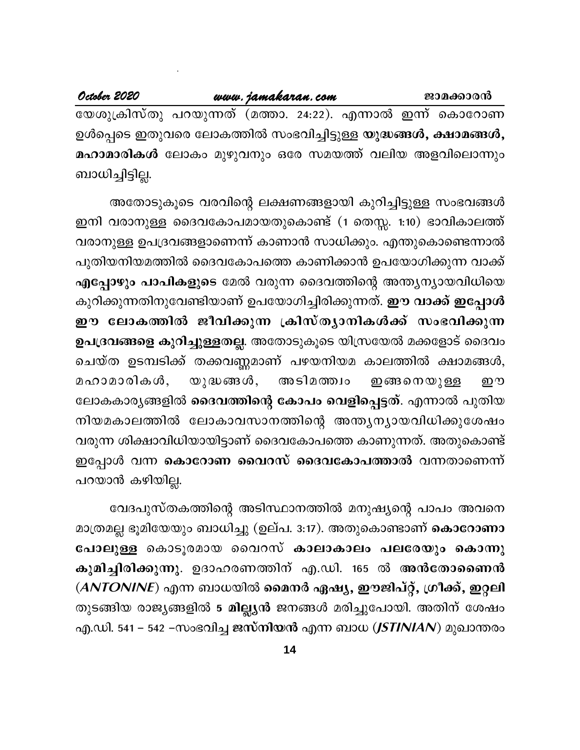October 2020 www.jamakaran.com ജാമക്കാരൻ യേശുക്രിസ്തു പറയുന്നത് (മത്താ. 24:22). എന്നാൽ ഇന്ന് കൊറോണ ഉൾപ്പെടെ ഇതുവരെ ലോകത്തിൽ സംഭവിച്ചിട്ടുള്ള യുദ്ധങ്ങൾ, ക്ഷാമങ്ങൾ, മഹാമാരികൾ ലോകം മുഴുവനും ഒരേ സമയത്ത് വലിയ അളവിലൊന്നും ബാധിച്ചിട്ടില്ല.

അതോടുകൂടെ വരവിന്റെ ലക്ഷണങ്ങളായി കുറിച്ചിട്ടുള്ള സംഭവങ്ങൾ ഇനി വരാനുള്ള ദൈവകോപമായതുകൊണ്ട് (1 തെസ്സ. 1:10) ഭാവികാലത്ത് വരാനുള്ള ഉപദ്രവങ്ങളാണെന്ന് കാണാൻ സാധിക്കും. എന്തുകൊണ്ടെന്നാൽ പുതിയനിയമത്തിൽ ദൈവകോപത്തെ കാണിക്കാൻ ഉപയോഗിക്കുന്ന വാക്ക് എപ്പോഴും പാപികളുടെ മേൽ വരുന്ന ദൈവത്തിന്റെ അന്ത്യന്യായവിധിയെ കുറിക്കുന്നതിനുവേണ്ടിയാണ് ഉപയോഗിച്ചിരിക്കുന്നത്. **ഈ വാക്ക് ഇപ്പോൾ** ഈ ലോകത്തിൽ ജീവിക്കുന്ന ക്രിസ്ത്യാനികൾക്ക് സംഭവിക്കുന്ന ഉപദ്രവങ്ങളെ കുറിച്ചുള്ളതല്ല. അതോടുകൂടെ യിസ്രയേൽ മക്കളോട് ദൈവം ചെയ്ത ഉടമ്പടിക്ക് തക്കവണ്ണമാണ് പഴയനിയമ കാലത്തിൽ ക്ഷാമങ്ങൾ,  $\omega$  ) ദ്ധങ്ങ $\omega$ , അടിമത്ത്വം മഹാമാരികൾ, <u>ഇങ്ങനെയുള്ള</u> று ലോകകാര്യങ്ങളിൽ <mark>ദൈവത്തിന്റെ കോപം വെളിപ്പെട്ടത്</mark>. എന്നാൽ പുതിയ നിയമകാലത്തിൽ ലോകാവസാനത്തിന്റെ അന്ത്യന്യായവിധിക്കുശേഷം വരുന്ന ശിക്ഷാവിധിയായിട്ടാണ് ദൈവകോപത്തെ കാണുന്നത്. അതുകൊണ്ട് ഇപ്പോൾ വന്ന കൊറോണ വൈറസ് ദൈവകോപത്താൽ വന്നതാണെന്ന് പറയാൻ കഴിയില്ല.

വേദപുസ്തകത്തിന്റെ അടിസ്ഥാനത്തിൽ മനുഷ്യന്റെ പാപം അവനെ മാത്രമല്ല ഭൂമിയേയും ബാധിച്ചു (ഉല്പ. 3:17). അതുകൊണ്ടാണ് കൊറോണാ പോലുള്ള കൊടൂരമായ വൈറസ് കാലാകാലം പലരേയും കൊന്നു കുമിച്ചിരിക്കുന്നു. ഉദാഹരണത്തിന് എ.ഡി. 165 ൽ അൻതോണൈൻ (ANTONINE) എന്ന ബാധയിൽ മൈനർ ഏഷ്യ, ഈജിപ്റ്റ്, ഗ്രീക്ക്, ഇറ്റലി തുടങ്ങിയ രാജ്യങ്ങളിൽ 5 മില്ല്യൻ ജനങ്ങൾ മരിച്ചുപോയി. അതിന് ശേഷം എ.ഡി. 541 – 542 –സംഭവിച്ച ജസ്നിയൻ എന്ന ബാധ (*JSTINIAN*) മുഖാന്തരം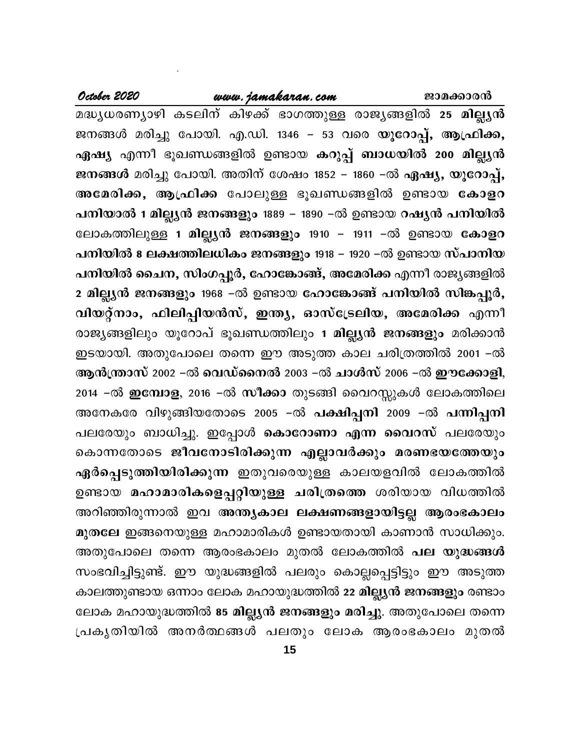## www.jamakaran.com

October 2020

മദ്ധ്യധരണ്യാഴി കടലിന് കിഴക്ക് ഭാഗത്തുള്ള രാജ്യങ്ങളിൽ 25 മില്ല്യൻ ജനങ്ങൾ മരിച്ചു പോയി. എ.ഡി. 1346 – 53 വരെ യൂറോപ്പ്, ആഫ്രിക്ക, ഏഷ്യ എന്നീ ഭൂഖണ്ഡങ്ങളിൽ ഉണ്ടായ കറുപ്പ് ബാധയിൽ 200 മില്ല്യൻ ജനങ്ങൾ മരിച്ചു പോയി. അതിന് ശേഷം 1852 – 1860 –ൽ ഏഷ്യ, യൂറോപ്പ്, അമേരിക്ക, ആഫ്രിക്ക പോലുള്ള ഭൂഖണ്ഡങ്ങളിൽ ഉണ്ടായ കോളറ പനിയാൽ 1 മില്ല്യൻ ജനങ്ങളും 1889 – 1890 –ൽ ഉണ്ടായ റഷ്യൻ പനിയിൽ ലോകത്തിലുള്ള 1 മില്ല്യൻ ജനങ്ങളും 1910 − 1911 −ൽ ഉണ്ടായ കോളറ പനിയിൽ 8 ലക്ഷത്തിലധികം ജനങ്ങളും 1918 – 1920 –ൽ ഉണ്ടായ സ്പാനിയ പനിയിൽ ചൈന, സിംഗപ്പൂർ, ഹോങ്കോങ്ങ്, അമേരിക്ക എന്നീ രാജ്യങ്ങളിൽ 2 മില്ല്യൻ ജനങ്ങളും 1968 –ൽ ഉണ്ടായ ഹോങ്കോങ്ങ് പനിയിൽ സിങ്കപ്പൂർ, വിയറ്റ്നാം, ഫിലിപ്പിയൻസ്, ഇന്ത്യ, ഓസ്ട്രേലിയ, അമേരിക്ക എന്നീ രാജ്യങ്ങളിലും യൂറോപ് ഭൂഖണ്ഡത്തിലും 1 മില്ല്യൻ ജനങ്ങളും മരിക്കാൻ ഇടയായി. അതുപോലെ തന്നെ ഈ അടുത്ത കാല ചരിത്രത്തിൽ 2001 –ൽ ആൻന്ത്രാസ് 2002 –ൽ വെഡ്നൈൽ 2003 –ൽ ചാൾസ് 2006 –ൽ ഈക്കോളി, 2014 -ൽ **ഇമ്പോള**, 2016 -ൽ <mark>സീക്കാ</mark> തുടങ്ങി വൈറസ്സുകൾ ലോകത്തിലെ അനേകരേ വിഴുങ്ങിയതോടെ 2005 −ൽ പക്ഷിപ്പനി 2009 −ൽ പന്നിപ്പനി പലരേയും ബാധിച്ചു. ഇപ്പോൾ <mark>കൊറോണാ എന്ന വൈറസ്</mark> പലരേയും കൊന്നതോടെ ജീവനോടിരിക്കുന്ന എല്ലാവർക്കും മരണഭയത്തേയും ഏർപ്പെടുത്തിയിരിക്കുന്ന ഇതുവരെയുള്ള കാലയളവിൽ ലോകത്തിൽ ഉണ്ടായ മഹാമാരികളെപ്പറ്റിയുള്ള ചരിത്രത്തെ ശരിയായ വിധത്തിൽ അറിഞ്ഞിരുന്നാൽ ഇവ അന്ത്യകാല ലക്ഷണങ്ങളായിട്ടല്ല ആരംഭകാലം മുതലേ ഇങ്ങനെയുള്ള മഹാമാരികൾ ഉണ്ടായതായി കാണാൻ സാധിക്കും. അതുപോലെ തന്നെ ആരംഭകാലം മുതൽ ലോകത്തിൽ <mark>പല യുദ്ധങ്ങൾ</mark> സംഭവിച്ചിട്ടുണ്ട്. ഈ യുദ്ധങ്ങളിൽ പലരും കൊല്ലപ്പെട്ടിട്ടും ഈ അടുത്ത കാലത്തുണ്ടായ ഒന്നാം ലോക മഹായുദ്ധത്തിൽ 22 മില്ല്യൻ ജനങ്ങളും രണ്ടാം ലോക മഹായുദ്ധത്തിൽ 85 മില്ല്യൻ ജനങ്ങളും മരിച്ചു. അതുപോലെ തന്നെ പ്രകൃതിയിൽ അനർത്ഥങ്ങൾ പലതും ലോക ആരംഭകാലം മുതൽ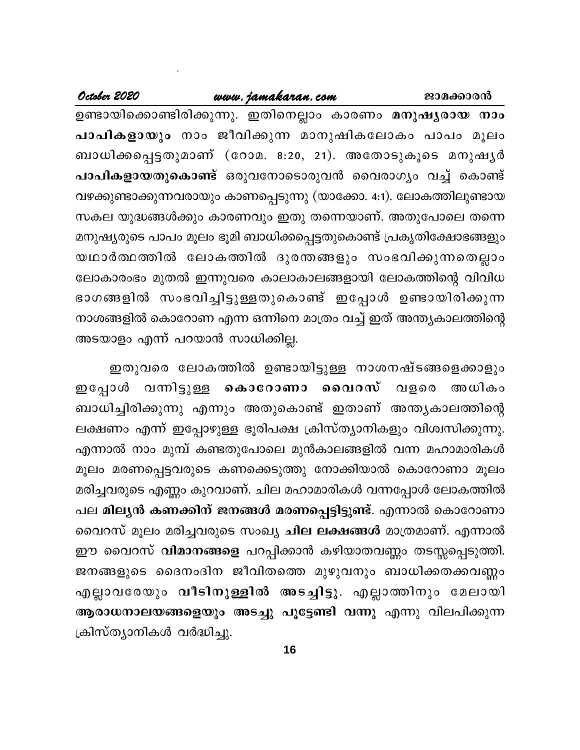#### www.jamakaran.com

October 2020

ഉണ്ടായിക്കൊണ്ടിരിക്കുന്നു. ഇതിനെല്ലാം കാരണം മനുഷൃരായ നാം പാപികളായും നാം ജീവിക്കുന്ന മാനുഷികലോകം പാപം മൂലം ബാധിക്കപ്പെട്ടതുമാണ് (റോമ. 8:20, 21). അതോടുകൂടെ മനുഷൃർ **പാപികളായതുകൊണ്ട്** ഒരുവനോടൊരുവൻ വൈരാഗൃം വച്ച് കൊണ്ട് വഴക്കുണ്ടാക്കുന്നവരായും കാണപ്പെടുന്നു (യാക്കോ. 4:1). ലോകത്തിലുണ്ടായ സകല യുദ്ധങ്ങൾക്കും കാരണവും ഇതു തന്നെയാണ്. അതുപോലെ തന്നെ മനുഷ്യരുടെ പാപം മൂലം ഭൂമി ബാധിക്കപ്പെട്ടതുകൊണ്ട് പ്രകൃതിക്ഷോഭങ്ങളും യഥാർത്ഥത്തിൽ ലോകത്തിൽ ദുരന്തങ്ങളും സംഭവിക്കുന്നതെല്ലാം ലോകാരംഭം മുതൽ ഇന്നുവരെ കാലാകാലങ്ങളായി ലോകത്തിന്റെ വിവിധ ഭാഗങ്ങളിൽ സംഭവിച്ചിട്ടുള്ളതുകൊണ്ട് ഇപ്പോൾ ഉണ്ടായിരിക്കുന്ന നാശങ്ങളിൽ കൊറോണ എന്ന ഒന്നിനെ മാത്രം വച്ച് ഇത് അന്ത്യകാലത്തിന്റെ അടയാളം എന്ന് പറയാൻ സാധിക്കില്ല.

ഇതുവരെ ലോകത്തിൽ ഉണ്ടായിട്ടുള്ള നാശനഷ്ടങ്ങളെക്കാളും ഇപ്പോൾ വന്നിട്ടുള്ള കൊറോണാ വൈറസ് വളരെ അധികം ബാധിച്ചിരിക്കുന്നു എന്നും അതുകൊണ്ട് ഇതാണ് അന്ത്യകാലത്തിന്റെ ലക്ഷണം എന്ന് ഇപ്പോഴുള്ള ഭൂരിപക്ഷ ക്രിസ്ത്യാനികളും വിശ്വസിക്കുന്നു. എന്നാൽ നാം മുമ്പ് കണ്ടതുപോലെ മുൻകാലങ്ങളിൽ വന്ന മഹാമാരികൾ മൂലം മരണപ്പെട്ടവരുടെ കണക്കെടുത്തു നോക്കിയാൽ കൊറോണാ മൂലം മരിച്ചവരുടെ എണ്ണം കുറവാണ്. ചില മഹാമാരികൾ വന്നപ്പോൾ ലോകത്തിൽ പല മിലൃൻ കണക്കിന് ജനങ്ങൾ മരണപ്പെട്ടിട്ടുണ്ട്. എന്നാൽ കൊറോണാ വൈറസ് മൂലം മരിച്ചവരുടെ സംഖ്യ **ചില ലക്ഷങ്ങൾ** മാത്രമാണ്. എന്നാൽ ഈ വൈറസ് **വിമാനങ്ങളെ** പറപ്പിക്കാൻ കഴിയാതവണ്ണം തടസ്സപ്പെടുത്തി. ജനങ്ങളുടെ ദൈനംദിന ജീവിതത്തെ മുഴുവനും ബാധിക്കതക്കവണ്ണം എല്ലാവരേയും വീടിനുള്ളിൽ അടച്ചിട്ടു. എല്ലാത്തിനും മേലായി ആരാധനാലയങ്ങളെയും അടച്ചു പൂട്ടേണ്ടി വന്നു എന്നു വിലപിക്കുന്ന ക്രിസ്ത്യാനികൾ വർദ്ധിച്ചു.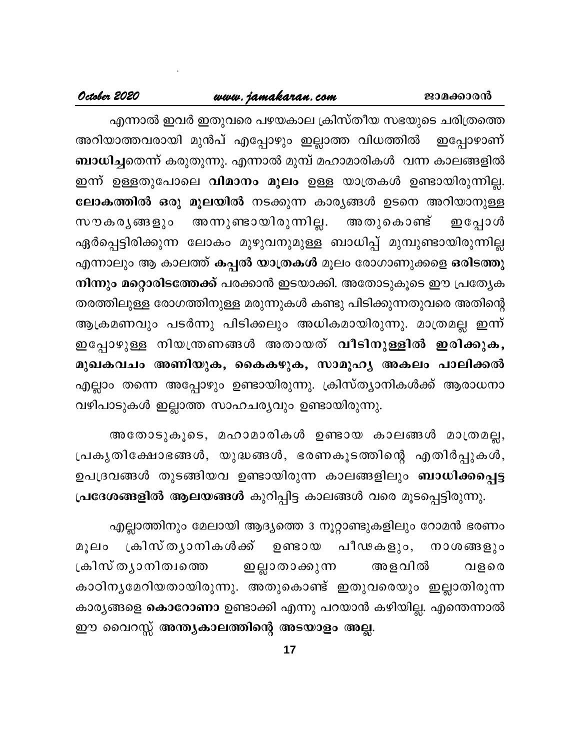#### www.jamakaran.com

#### October 2020

എന്നാൽ ഇവർ ഇതുവരെ പഴയകാല ക്രിസ്തീയ സഭയുടെ ചരിത്രത്തെ അറിയാത്തവരായി മുൻപ് എപ്പോഴും ഇല്ലാത്ത വിധത്തിൽ ഇപ്പോഴാണ് ബാധിച്ചതെന്ന് കരുതുന്നു. എന്നാൽ മുമ്പ് മഹാമാരികൾ വന്ന കാലങ്ങളിൽ ഇന്ന് ഉള്ളതുപോലെ **വിമാനം മൂലം** ഉള്ള യാത്രകൾ ഉണ്ടായിരുന്നില്ല. ലോകത്തിൽ ഒരു മൂലയിൽ നടക്കുന്ന കാര്യങ്ങൾ ഉടനെ അറിയാനുള്ള അന്നുണ്ടായിരുന്നില്ല. അതുകൊണ്ട് സൗകരൃങ്ങളും ഇപ്പോൾ ഏർപ്പെട്ടിരിക്കുന്ന ലോകം മുഴുവനുമുള്ള ബാധിപ്പ് മുമ്പുണ്ടായിരുന്നില്ല എന്നാലും ആ കാലത്ത് കപ്പൽ യാത്രകൾ മൂലം രോഗാണുക്കളെ ഒരിടത്തു നിന്നും മറ്റൊരിടത്തേക്ക് പരക്കാൻ ഇടയാക്കി. അതോടുകൂടെ ഈ പ്രത്യേക തരത്തിലുള്ള രോഗത്തിനുള്ള മരുന്നുകൾ കണ്ടു പിടിക്കുന്നതുവരെ അതിന്റെ ആക്രമണവും പടർന്നു പിടിക്കലും അധികമായിരുന്നു. മാത്രമല്ല ഇന്ന് ഇപ്പോഴുള്ള നിയന്ത്രണങ്ങൾ അതായത് വീടിനുള്ളിൽ ഇരിക്കുക, മുഖകവചം അണിയുക, കൈകഴുക, സാമൂഹൃ അകലം പാലിക്കൽ എല്ലാം തന്നെ അപ്പോഴും ഉണ്ടായിരുന്നു. ക്രിസ്ത്യാനികൾക്ക് ആരാധനാ വഴിപാടുകൾ ഇല്ലാത്ത സാഹചര്യവും ഉണ്ടായിരുന്നു.

അതോടുകൂടെ, മഹാമാരികൾ ഉണ്ടായ കാലങ്ങൾ മാത്രമല്ല, പ്രകൃതിക്ഷോഭങ്ങൾ, യുദ്ധങ്ങൾ, ഭരണകൂടത്തിന്റെ എതിർപ്പുകൾ, ഉപദ്രവങ്ങൾ തുടങ്ങിയവ ഉണ്ടായിരുന്ന കാലങ്ങളിലും **ബാധിക്കപ്പെട്ട** പ്രദേശങ്ങളിൽ ആലയങ്ങൾ കുറിപ്പിട്ട കാലങ്ങൾ വരെ മൂടപ്പെട്ടിരുന്നു.

എല്ലാത്തിനും മേലായി ആദ്യത്തെ 3 നൂറ്റാണ്ടുകളിലും റോമൻ ഭരണം മൂലം ക്രിസ്ത്യാനികൾക്ക് ഉണ്ടായ പീഢകളും, നാശങ്ങളും ക്രിസ് തൃാനിത്വത്തെ ഇല്ലാതാക്കുന്ന അളവിൽ വളരെ കാഠിനൃമേറിയതായിരുന്നു. അതുകൊണ്ട് ഇതുവരെയും ഇല്ലാതിരുന്ന കാര്യങ്ങളെ **കൊറോണാ** ഉണ്ടാക്കി എന്നു പറയാൻ കഴിയില്ല. എന്തെന്നാൽ ഈ വൈറസ്സ് അന്ത്യകാലത്തിന്റെ അടയാളം അല്ല.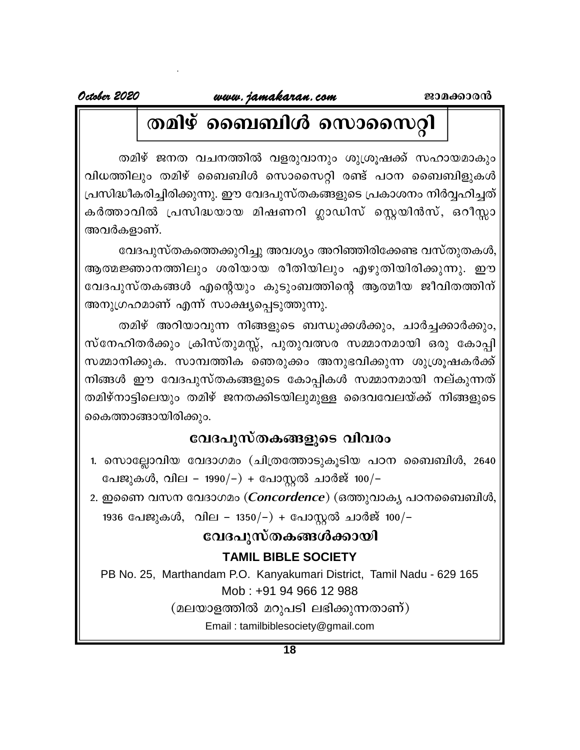# തമിഴ് ബൈബിൾ സൊസൈറ്റി

തമിഴ് ജനത വചനത്തിൽ വളരുവാനും ശുശ്രൂഷക്ക് സഹായമാകും വിധത്തിലും തമിഴ് ബൈബിൾ സൊസൈറ്റി രണ്ട് പഠന ബൈബിളുകൾ പ്രസിദ്ധീകരിച്ചിരിക്കുന്നു. ഈ വേദപുസ്തകങ്ങളുടെ പ്രകാശനം നിർവ്വഹിച്ചത് കർത്താവിൽ പ്രസിദ്ധയായ മിഷണറി ഗ്ലാഡിസ് സ്റ്റെയിൻസ്, ഒറീസ്സാ അവർകളാണ്.

വേദപുസ്തകത്തെക്കുറിച്ചു അവശ്യം അറിഞ്ഞിരിക്കേണ്ട വസ്തുതകൾ, ആത്മജ്ഞാനത്തിലും ശരിയായ രീതിയിലും എഴുതിയിരിക്കുന്നു. ഈ വേദപുസ്തകങ്ങൾ എന്റെയും കുടുംബത്തിന്റെ ആത്മീയ ജീവിതത്തിന് അനുഗ്രഹമാണ് എന്ന് സാക്ഷ്യപ്പെടുത്തുന്നു.

തമിഴ് അറിയാവുന്ന നിങ്ങളുടെ ബന്ധുക്കൾക്കും, ചാർച്ചക്കാർക്കും, സ്നേഹിതർക്കും ക്രിസ്തുമസ്സ്, പുതുവത്സര സമ്മാനമായി ഒരു കോപ്പി സമ്മാനിക്കുക. സാമ്പത്തിക ഞെരുക്കം അനുഭവിക്കുന്ന ശുശ്രൂഷകർക്ക് നിങ്ങൾ ഈ വേദപുസ്തകങ്ങളുടെ കോപ്പികൾ സമ്മാനമായി നല്കുന്നത് തമിഴ്നാട്ടിലെയും തമിഴ് ജനതക്കിടയിലുമുള്ള ദൈവവേലയ്ക്ക് നിങ്ങളുടെ കൈത്താങ്ങായിരിക്കും.

# വേദപുസ്തകങ്ങളുടെ വിവരം

- 1. സൊല്ലോവിയ വേദാഗമം (ചിത്രത്തോടുകൂടിയ പഠന ബൈബിൾ, 2640 പേജുകൾ, വില – 1990/–) + പോസ്റ്റൽ ചാർജ് 100/–
- 2. ഇണൈ വസന വേദാഗമം (*Concordence*) (ഒത്തുവാകൃ പഠനബൈബിൾ, 1936 പേജുകൾ, വില – 1350/-) + പോസ്റ്റൽ ചാർജ് 100/-

# വേദപുസ്തകങ്ങൾക്കായി

# **TAMIL BIBLE SOCIETY**

PB No. 25, Marthandam P.O. Kanyakumari District, Tamil Nadu - 629 165 Mob: +91 94 966 12 988

(മലയാളത്തിൽ മറുപടി ലഭിക്കുന്നതാണ്)

Email: tamilbiblesociety@gmail.com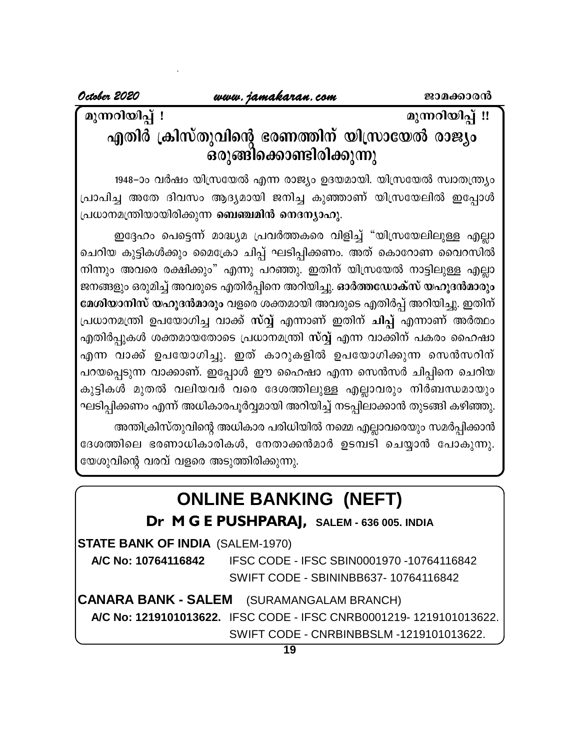മുന്നറിയിപ് !

# മുന്നറിയിപ് !!

# എതിർ ക്രിസ്തുവിന്റെ ഭരണത്തിന് യിസ്രായേൽ രാജ്യം .<br>ഒരുങ്ങിക്കൊണ്ടിരിക്കുന്നു

1948-ാം വർഷം യിസ്രയേൽ എന്ന രാജ്യം ഉദയമായി. യിസ്രയേൽ സ്വാതന്ത്ര്യം പ്രാപിച്ച അതേ ദിവസം ആദ്യമായി ജനിച്ച കുഞ്ഞാണ് യിസ്രയേലിൽ ഇപ്പോൾ പ്രധാനമന്ത്രിയായിരിക്കുന്ന **ബെഞ്ചമിൻ നെദന്യാഹു**.

ഇദ്ദേഹം പെട്ടെന്ന് മാദ്ധ്യമ പ്രവർത്തകരെ വിളിച്ച് "യിസ്രയേലിലുള്ള എല്ലാ ചെറിയ കുട്ടികൾക്കും മൈക്രോ ചിപ്പ് ഘടിപ്പിക്കണം. അത് കൊറോണ വൈറസിൽ നിന്നും അവരെ രക്ഷിക്കും" എന്നു പറഞ്ഞു. ഇതിന് യിസ്രയേൽ നാട്ടിലുള്ള എല്ലാ ജനങ്ങളും ഒരുമിച്ച് അവരുടെ എതിർപ്പിനെ അറിയിച്ചു. ഓർത്തഡോക്സ് യഹൂദൻമാരും മേശിയാനിസ് യഹുദൻമാരും വളരെ ശക്തമായി അവരുടെ എതിർപ്പ് അറിയിച്ചു. ഇതിന് പ്രധാനമന്ത്രി ഉപയോഗിച്ച വാക്ക് സ്വ്വ് എന്നാണ് ഇതിന് ചിപ്പ് എന്നാണ് അർത്ഥം എതിർപ്പുകൾ ശക്തമായതോടെ പ്രധാനമന്ത്രി സ്വ്വ് എന്ന വാക്കിന് പകരം ഹൈഷാ എന്ന വാക്ക് ഉപയോഗിച്ചു. ഇത് കാറുകളിൽ ഉപയോഗിക്കുന്ന സെൻസറിന് പറയപ്പെടുന്ന വാക്കാണ്. ഇപ്പോൾ ഈ ഹൈഷാ എന്ന സെൻസർ ചിപ്പിനെ ചെറിയ കുട്ടികൾ മുതൽ വലിയവർ വരെ ദേശത്തിലുള്ള എല്ലാവരും നിർബന്ധമായും ഘടിപ്പിക്കണം എന്ന് അധികാരപൂർവ്വമായി അറിയിച്ച് നടപ്പിലാക്കാൻ തുടങ്ങി കഴിഞ്ഞു.

അന്തിക്രിസ്തുവിന്റെ അധികാര പരിധിയിൽ നമ്മെ എല്ലാവരെയും സമർപ്പിക്കാൻ ദേശത്തിലെ ഭരണാധികാരികൾ, നേതാക്കൻമാർ ഉടമ്പടി ചെയ്യാൻ പോകുന്നു.

യേശുവിന്റെ വരവ് വളരെ അടുത്തിരിക്കുന്നു.

# **ONLINE BANKING (NEFT)**

# Dr M G E PUSHPARAJ, SALEM - 636 005. INDIA

**STATE BANK OF INDIA (SALEM-1970)** 

A/C No: 10764116842 IFSC CODE - IFSC SBIN0001970 -10764116842 SWIFT CODE - SBININBB637-10764116842

**CANARA BANK - SALEM** (SURAMANGALAM BRANCH) A/C No: 1219101013622. IFSC CODE - IFSC CNRB0001219-1219101013622. SWIFT CODE - CNRBINBBSLM -1219101013622.